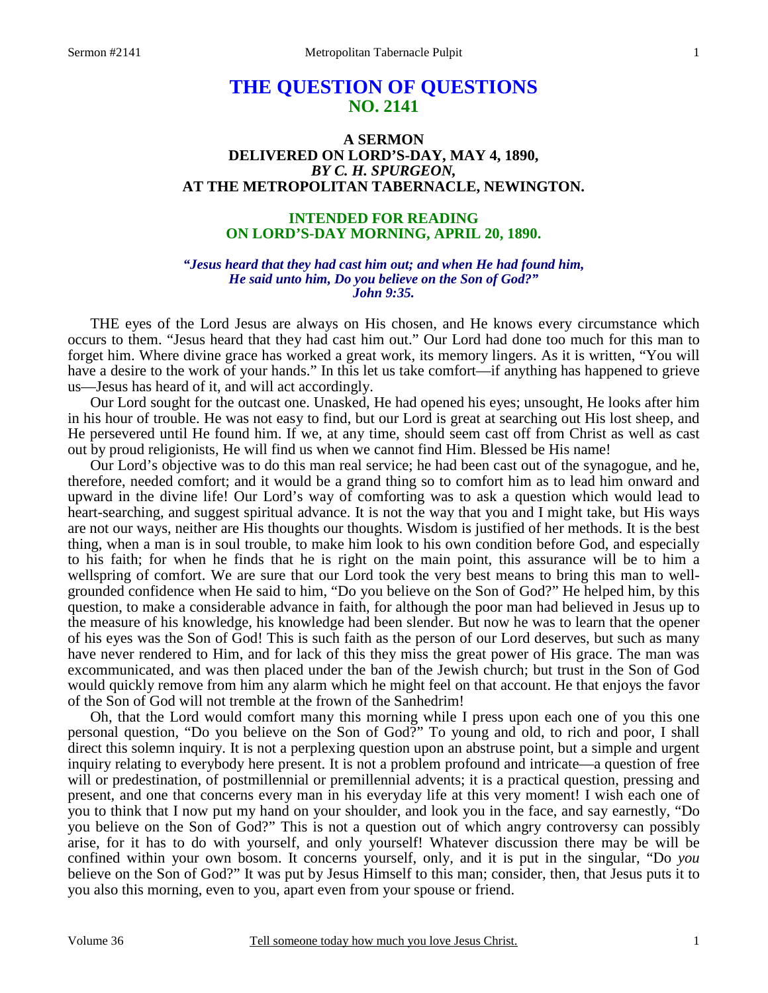# **THE QUESTION OF QUESTIONS NO. 2141**

# **A SERMON DELIVERED ON LORD'S-DAY, MAY 4, 1890,**  *BY C. H. SPURGEON,*  **AT THE METROPOLITAN TABERNACLE, NEWINGTON.**

# **INTENDED FOR READING ON LORD'S-DAY MORNING, APRIL 20, 1890.**

### *"Jesus heard that they had cast him out; and when He had found him, He said unto him, Do you believe on the Son of God?" John 9:35.*

THE eyes of the Lord Jesus are always on His chosen, and He knows every circumstance which occurs to them. "Jesus heard that they had cast him out." Our Lord had done too much for this man to forget him. Where divine grace has worked a great work, its memory lingers. As it is written, "You will have a desire to the work of your hands." In this let us take comfort—if anything has happened to grieve us—Jesus has heard of it, and will act accordingly.

 Our Lord sought for the outcast one. Unasked, He had opened his eyes; unsought, He looks after him in his hour of trouble. He was not easy to find, but our Lord is great at searching out His lost sheep, and He persevered until He found him. If we, at any time, should seem cast off from Christ as well as cast out by proud religionists, He will find us when we cannot find Him. Blessed be His name!

 Our Lord's objective was to do this man real service; he had been cast out of the synagogue, and he, therefore, needed comfort; and it would be a grand thing so to comfort him as to lead him onward and upward in the divine life! Our Lord's way of comforting was to ask a question which would lead to heart-searching, and suggest spiritual advance. It is not the way that you and I might take, but His ways are not our ways, neither are His thoughts our thoughts. Wisdom is justified of her methods. It is the best thing, when a man is in soul trouble, to make him look to his own condition before God, and especially to his faith; for when he finds that he is right on the main point, this assurance will be to him a wellspring of comfort. We are sure that our Lord took the very best means to bring this man to wellgrounded confidence when He said to him, "Do you believe on the Son of God?" He helped him, by this question, to make a considerable advance in faith, for although the poor man had believed in Jesus up to the measure of his knowledge, his knowledge had been slender. But now he was to learn that the opener of his eyes was the Son of God! This is such faith as the person of our Lord deserves, but such as many have never rendered to Him, and for lack of this they miss the great power of His grace. The man was excommunicated, and was then placed under the ban of the Jewish church; but trust in the Son of God would quickly remove from him any alarm which he might feel on that account. He that enjoys the favor of the Son of God will not tremble at the frown of the Sanhedrim!

 Oh, that the Lord would comfort many this morning while I press upon each one of you this one personal question, "Do you believe on the Son of God?" To young and old, to rich and poor, I shall direct this solemn inquiry. It is not a perplexing question upon an abstruse point, but a simple and urgent inquiry relating to everybody here present. It is not a problem profound and intricate—a question of free will or predestination, of postmillennial or premillennial advents; it is a practical question, pressing and present, and one that concerns every man in his everyday life at this very moment! I wish each one of you to think that I now put my hand on your shoulder, and look you in the face, and say earnestly, "Do you believe on the Son of God?" This is not a question out of which angry controversy can possibly arise, for it has to do with yourself, and only yourself! Whatever discussion there may be will be confined within your own bosom. It concerns yourself, only, and it is put in the singular, "Do *you*  believe on the Son of God?" It was put by Jesus Himself to this man; consider, then, that Jesus puts it to you also this morning, even to you, apart even from your spouse or friend.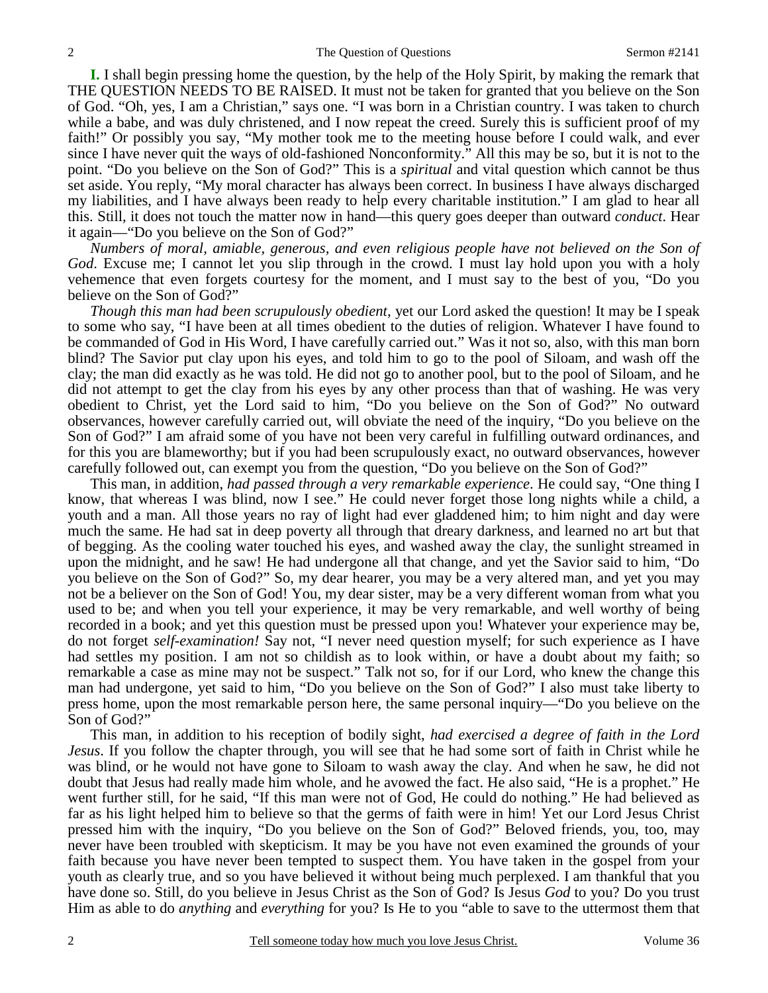**I.** I shall begin pressing home the question, by the help of the Holy Spirit, by making the remark that THE QUESTION NEEDS TO BE RAISED. It must not be taken for granted that you believe on the Son of God. "Oh, yes, I am a Christian," says one. "I was born in a Christian country. I was taken to church while a babe, and was duly christened, and I now repeat the creed. Surely this is sufficient proof of my faith!" Or possibly you say, "My mother took me to the meeting house before I could walk, and ever since I have never quit the ways of old-fashioned Nonconformity." All this may be so, but it is not to the point. "Do you believe on the Son of God?" This is a *spiritual* and vital question which cannot be thus set aside. You reply, "My moral character has always been correct. In business I have always discharged my liabilities, and I have always been ready to help every charitable institution." I am glad to hear all this. Still, it does not touch the matter now in hand—this query goes deeper than outward *conduct*. Hear it again—"Do you believe on the Son of God?"

*Numbers of moral, amiable, generous, and even religious people have not believed on the Son of God*. Excuse me; I cannot let you slip through in the crowd. I must lay hold upon you with a holy vehemence that even forgets courtesy for the moment, and I must say to the best of you, "Do you believe on the Son of God?"

*Though this man had been scrupulously obedient,* yet our Lord asked the question! It may be I speak to some who say, "I have been at all times obedient to the duties of religion. Whatever I have found to be commanded of God in His Word, I have carefully carried out." Was it not so, also, with this man born blind? The Savior put clay upon his eyes, and told him to go to the pool of Siloam, and wash off the clay; the man did exactly as he was told. He did not go to another pool, but to the pool of Siloam, and he did not attempt to get the clay from his eyes by any other process than that of washing. He was very obedient to Christ, yet the Lord said to him, "Do you believe on the Son of God?" No outward observances, however carefully carried out, will obviate the need of the inquiry, "Do you believe on the Son of God?" I am afraid some of you have not been very careful in fulfilling outward ordinances, and for this you are blameworthy; but if you had been scrupulously exact, no outward observances, however carefully followed out, can exempt you from the question, "Do you believe on the Son of God?"

 This man, in addition, *had passed through a very remarkable experience*. He could say, "One thing I know, that whereas I was blind, now I see." He could never forget those long nights while a child, a youth and a man. All those years no ray of light had ever gladdened him; to him night and day were much the same. He had sat in deep poverty all through that dreary darkness, and learned no art but that of begging. As the cooling water touched his eyes, and washed away the clay, the sunlight streamed in upon the midnight, and he saw! He had undergone all that change, and yet the Savior said to him, "Do you believe on the Son of God?" So, my dear hearer, you may be a very altered man, and yet you may not be a believer on the Son of God! You, my dear sister, may be a very different woman from what you used to be; and when you tell your experience, it may be very remarkable, and well worthy of being recorded in a book; and yet this question must be pressed upon you! Whatever your experience may be, do not forget *self-examination!* Say not, "I never need question myself; for such experience as I have had settles my position. I am not so childish as to look within, or have a doubt about my faith; so remarkable a case as mine may not be suspect." Talk not so, for if our Lord, who knew the change this man had undergone, yet said to him, "Do you believe on the Son of God?" I also must take liberty to press home, upon the most remarkable person here, the same personal inquiry—"Do you believe on the Son of God?"

 This man, in addition to his reception of bodily sight, *had exercised a degree of faith in the Lord Jesus*. If you follow the chapter through, you will see that he had some sort of faith in Christ while he was blind, or he would not have gone to Siloam to wash away the clay. And when he saw, he did not doubt that Jesus had really made him whole, and he avowed the fact. He also said, "He is a prophet." He went further still, for he said, "If this man were not of God, He could do nothing." He had believed as far as his light helped him to believe so that the germs of faith were in him! Yet our Lord Jesus Christ pressed him with the inquiry, "Do you believe on the Son of God?" Beloved friends, you, too, may never have been troubled with skepticism. It may be you have not even examined the grounds of your faith because you have never been tempted to suspect them. You have taken in the gospel from your youth as clearly true, and so you have believed it without being much perplexed. I am thankful that you have done so. Still, do you believe in Jesus Christ as the Son of God? Is Jesus *God* to you? Do you trust Him as able to do *anything* and *everything* for you? Is He to you "able to save to the uttermost them that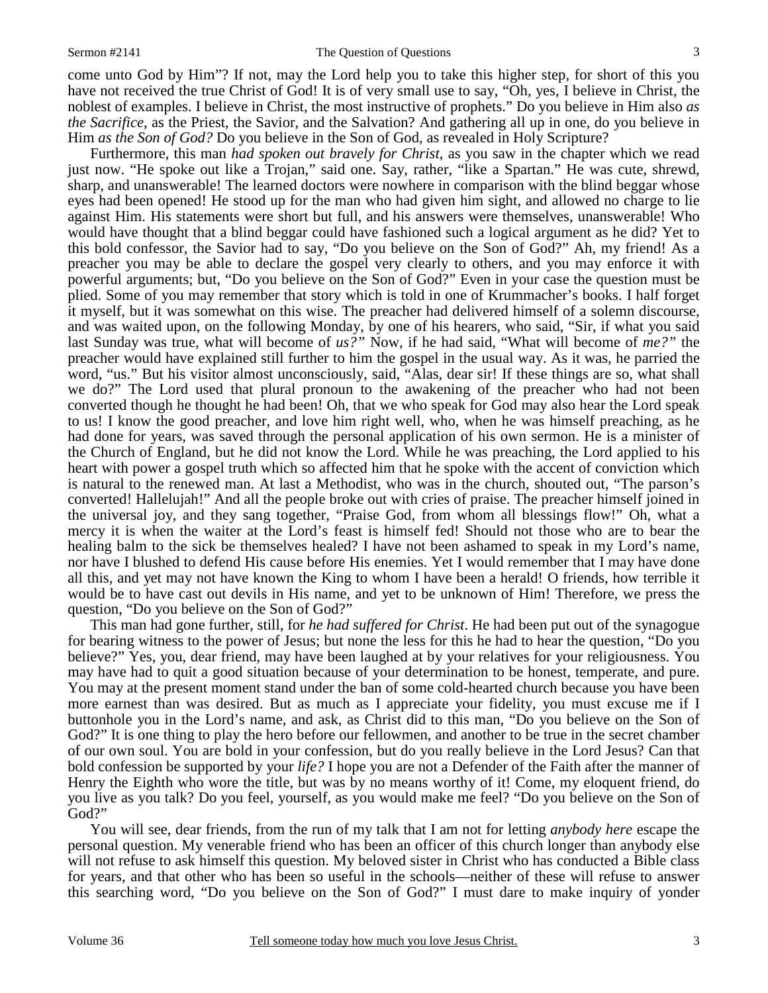#### Sermon #2141 The Question of Questions

come unto God by Him"? If not, may the Lord help you to take this higher step, for short of this you have not received the true Christ of God! It is of very small use to say, "Oh, yes, I believe in Christ, the noblest of examples. I believe in Christ, the most instructive of prophets." Do you believe in Him also *as the Sacrifice*, as the Priest, the Savior, and the Salvation? And gathering all up in one, do you believe in Him *as the Son of God?* Do you believe in the Son of God, as revealed in Holy Scripture?

 Furthermore, this man *had spoken out bravely for Christ*, as you saw in the chapter which we read just now. "He spoke out like a Trojan," said one. Say, rather, "like a Spartan." He was cute, shrewd, sharp, and unanswerable! The learned doctors were nowhere in comparison with the blind beggar whose eyes had been opened! He stood up for the man who had given him sight, and allowed no charge to lie against Him. His statements were short but full, and his answers were themselves, unanswerable! Who would have thought that a blind beggar could have fashioned such a logical argument as he did? Yet to this bold confessor, the Savior had to say, "Do you believe on the Son of God?" Ah, my friend! As a preacher you may be able to declare the gospel very clearly to others, and you may enforce it with powerful arguments; but, "Do you believe on the Son of God?" Even in your case the question must be plied. Some of you may remember that story which is told in one of Krummacher's books. I half forget it myself, but it was somewhat on this wise. The preacher had delivered himself of a solemn discourse, and was waited upon, on the following Monday, by one of his hearers, who said, "Sir, if what you said last Sunday was true, what will become of *us?"* Now, if he had said, "What will become of *me?"* the preacher would have explained still further to him the gospel in the usual way. As it was, he parried the word, "us." But his visitor almost unconsciously, said, "Alas, dear sir! If these things are so, what shall we do?" The Lord used that plural pronoun to the awakening of the preacher who had not been converted though he thought he had been! Oh, that we who speak for God may also hear the Lord speak to us! I know the good preacher, and love him right well, who, when he was himself preaching, as he had done for years, was saved through the personal application of his own sermon. He is a minister of the Church of England, but he did not know the Lord. While he was preaching, the Lord applied to his heart with power a gospel truth which so affected him that he spoke with the accent of conviction which is natural to the renewed man. At last a Methodist, who was in the church, shouted out, "The parson's converted! Hallelujah!" And all the people broke out with cries of praise. The preacher himself joined in the universal joy, and they sang together, "Praise God, from whom all blessings flow!" Oh, what a mercy it is when the waiter at the Lord's feast is himself fed! Should not those who are to bear the healing balm to the sick be themselves healed? I have not been ashamed to speak in my Lord's name, nor have I blushed to defend His cause before His enemies. Yet I would remember that I may have done all this, and yet may not have known the King to whom I have been a herald! O friends, how terrible it would be to have cast out devils in His name, and yet to be unknown of Him! Therefore, we press the question, "Do you believe on the Son of God?"

 This man had gone further, still, for *he had suffered for Christ*. He had been put out of the synagogue for bearing witness to the power of Jesus; but none the less for this he had to hear the question, "Do you believe?" Yes, you, dear friend, may have been laughed at by your relatives for your religiousness. You may have had to quit a good situation because of your determination to be honest, temperate, and pure. You may at the present moment stand under the ban of some cold-hearted church because you have been more earnest than was desired. But as much as I appreciate your fidelity, you must excuse me if I buttonhole you in the Lord's name, and ask, as Christ did to this man, "Do you believe on the Son of God?" It is one thing to play the hero before our fellowmen, and another to be true in the secret chamber of our own soul. You are bold in your confession, but do you really believe in the Lord Jesus? Can that bold confession be supported by your *life?* I hope you are not a Defender of the Faith after the manner of Henry the Eighth who wore the title, but was by no means worthy of it! Come, my eloquent friend, do you live as you talk? Do you feel, yourself, as you would make me feel? "Do you believe on the Son of God?"

 You will see, dear friends, from the run of my talk that I am not for letting *anybody here* escape the personal question. My venerable friend who has been an officer of this church longer than anybody else will not refuse to ask himself this question. My beloved sister in Christ who has conducted a Bible class for years, and that other who has been so useful in the schools—neither of these will refuse to answer this searching word, "Do you believe on the Son of God?" I must dare to make inquiry of yonder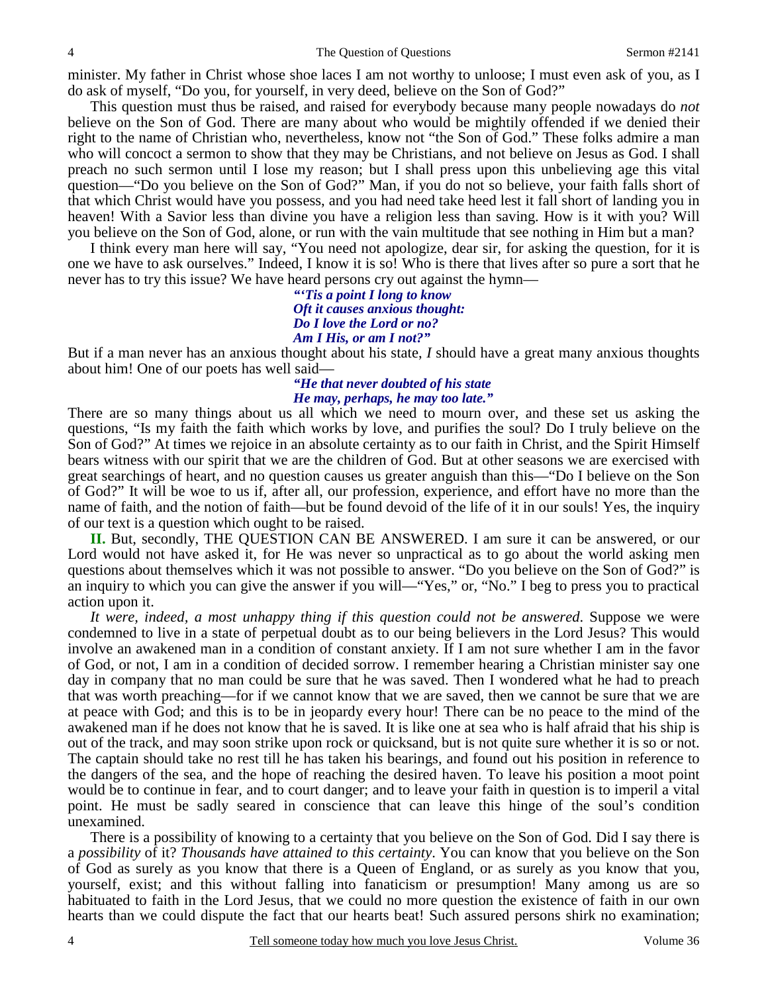minister. My father in Christ whose shoe laces I am not worthy to unloose; I must even ask of you, as I do ask of myself, "Do you, for yourself, in very deed, believe on the Son of God?"

 This question must thus be raised, and raised for everybody because many people nowadays do *not* believe on the Son of God. There are many about who would be mightily offended if we denied their right to the name of Christian who, nevertheless, know not "the Son of God." These folks admire a man who will concoct a sermon to show that they may be Christians, and not believe on Jesus as God. I shall preach no such sermon until I lose my reason; but I shall press upon this unbelieving age this vital question—"Do you believe on the Son of God?" Man, if you do not so believe, your faith falls short of that which Christ would have you possess, and you had need take heed lest it fall short of landing you in heaven! With a Savior less than divine you have a religion less than saving. How is it with you? Will you believe on the Son of God, alone, or run with the vain multitude that see nothing in Him but a man?

 I think every man here will say, "You need not apologize, dear sir, for asking the question, for it is one we have to ask ourselves." Indeed, I know it is so! Who is there that lives after so pure a sort that he never has to try this issue? We have heard persons cry out against the hymn—

> *"'Tis a point I long to know Oft it causes anxious thought: Do I love the Lord or no? Am I His, or am I not?"*

But if a man never has an anxious thought about his state, *I* should have a great many anxious thoughts about him! One of our poets has well said—

### *"He that never doubted of his state He may, perhaps, he may too late."*

There are so many things about us all which we need to mourn over, and these set us asking the questions, "Is my faith the faith which works by love, and purifies the soul? Do I truly believe on the Son of God?" At times we rejoice in an absolute certainty as to our faith in Christ, and the Spirit Himself bears witness with our spirit that we are the children of God. But at other seasons we are exercised with great searchings of heart, and no question causes us greater anguish than this—"Do I believe on the Son of God?" It will be woe to us if, after all, our profession, experience, and effort have no more than the name of faith, and the notion of faith—but be found devoid of the life of it in our souls! Yes, the inquiry of our text is a question which ought to be raised.

**II.** But, secondly, THE QUESTION CAN BE ANSWERED. I am sure it can be answered, or our Lord would not have asked it, for He was never so unpractical as to go about the world asking men questions about themselves which it was not possible to answer. "Do you believe on the Son of God?" is an inquiry to which you can give the answer if you will—"Yes," or, "No." I beg to press you to practical action upon it.

*It were, indeed, a most unhappy thing if this question could not be answered*. Suppose we were condemned to live in a state of perpetual doubt as to our being believers in the Lord Jesus? This would involve an awakened man in a condition of constant anxiety. If I am not sure whether I am in the favor of God, or not, I am in a condition of decided sorrow. I remember hearing a Christian minister say one day in company that no man could be sure that he was saved. Then I wondered what he had to preach that was worth preaching—for if we cannot know that we are saved, then we cannot be sure that we are at peace with God; and this is to be in jeopardy every hour! There can be no peace to the mind of the awakened man if he does not know that he is saved. It is like one at sea who is half afraid that his ship is out of the track, and may soon strike upon rock or quicksand, but is not quite sure whether it is so or not. The captain should take no rest till he has taken his bearings, and found out his position in reference to the dangers of the sea, and the hope of reaching the desired haven. To leave his position a moot point would be to continue in fear, and to court danger; and to leave your faith in question is to imperil a vital point. He must be sadly seared in conscience that can leave this hinge of the soul's condition unexamined.

 There is a possibility of knowing to a certainty that you believe on the Son of God. Did I say there is a *possibility* of it? *Thousands have attained to this certainty*. You can know that you believe on the Son of God as surely as you know that there is a Queen of England, or as surely as you know that you, yourself, exist; and this without falling into fanaticism or presumption! Many among us are so habituated to faith in the Lord Jesus, that we could no more question the existence of faith in our own hearts than we could dispute the fact that our hearts beat! Such assured persons shirk no examination;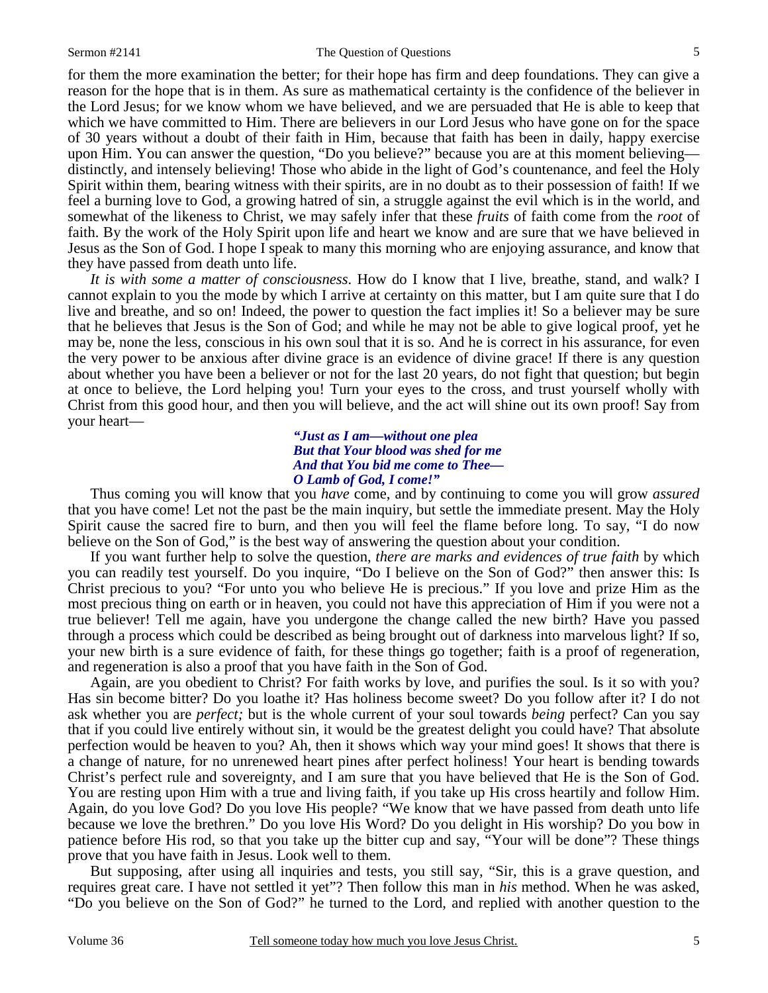#### Sermon #2141 The Question of Questions

for them the more examination the better; for their hope has firm and deep foundations. They can give a reason for the hope that is in them. As sure as mathematical certainty is the confidence of the believer in the Lord Jesus; for we know whom we have believed, and we are persuaded that He is able to keep that which we have committed to Him. There are believers in our Lord Jesus who have gone on for the space of 30 years without a doubt of their faith in Him, because that faith has been in daily, happy exercise upon Him. You can answer the question, "Do you believe?" because you are at this moment believing distinctly, and intensely believing! Those who abide in the light of God's countenance, and feel the Holy Spirit within them, bearing witness with their spirits, are in no doubt as to their possession of faith! If we feel a burning love to God, a growing hatred of sin, a struggle against the evil which is in the world, and somewhat of the likeness to Christ, we may safely infer that these *fruits* of faith come from the *root* of faith. By the work of the Holy Spirit upon life and heart we know and are sure that we have believed in Jesus as the Son of God. I hope I speak to many this morning who are enjoying assurance, and know that they have passed from death unto life.

*It is with some a matter of consciousness*. How do I know that I live, breathe, stand, and walk? I cannot explain to you the mode by which I arrive at certainty on this matter, but I am quite sure that I do live and breathe, and so on! Indeed, the power to question the fact implies it! So a believer may be sure that he believes that Jesus is the Son of God; and while he may not be able to give logical proof, yet he may be, none the less, conscious in his own soul that it is so. And he is correct in his assurance, for even the very power to be anxious after divine grace is an evidence of divine grace! If there is any question about whether you have been a believer or not for the last 20 years, do not fight that question; but begin at once to believe, the Lord helping you! Turn your eyes to the cross, and trust yourself wholly with Christ from this good hour, and then you will believe, and the act will shine out its own proof! Say from your heart—

> *"Just as I am—without one plea But that Your blood was shed for me And that You bid me come to Thee— O Lamb of God, I come!"*

Thus coming you will know that you *have* come, and by continuing to come you will grow *assured* that you have come! Let not the past be the main inquiry, but settle the immediate present. May the Holy Spirit cause the sacred fire to burn, and then you will feel the flame before long. To say, "I do now believe on the Son of God," is the best way of answering the question about your condition.

 If you want further help to solve the question, *there are marks and evidences of true faith* by which you can readily test yourself. Do you inquire, "Do I believe on the Son of God?" then answer this: Is Christ precious to you? "For unto you who believe He is precious." If you love and prize Him as the most precious thing on earth or in heaven, you could not have this appreciation of Him if you were not a true believer! Tell me again, have you undergone the change called the new birth? Have you passed through a process which could be described as being brought out of darkness into marvelous light? If so, your new birth is a sure evidence of faith, for these things go together; faith is a proof of regeneration, and regeneration is also a proof that you have faith in the Son of God.

 Again, are you obedient to Christ? For faith works by love, and purifies the soul. Is it so with you? Has sin become bitter? Do you loathe it? Has holiness become sweet? Do you follow after it? I do not ask whether you are *perfect;* but is the whole current of your soul towards *being* perfect? Can you say that if you could live entirely without sin, it would be the greatest delight you could have? That absolute perfection would be heaven to you? Ah, then it shows which way your mind goes! It shows that there is a change of nature, for no unrenewed heart pines after perfect holiness! Your heart is bending towards Christ's perfect rule and sovereignty, and I am sure that you have believed that He is the Son of God. You are resting upon Him with a true and living faith, if you take up His cross heartily and follow Him. Again, do you love God? Do you love His people? "We know that we have passed from death unto life because we love the brethren." Do you love His Word? Do you delight in His worship? Do you bow in patience before His rod, so that you take up the bitter cup and say, "Your will be done"? These things prove that you have faith in Jesus. Look well to them.

 But supposing, after using all inquiries and tests, you still say, "Sir, this is a grave question, and requires great care. I have not settled it yet"? Then follow this man in *his* method. When he was asked, "Do you believe on the Son of God?" he turned to the Lord, and replied with another question to the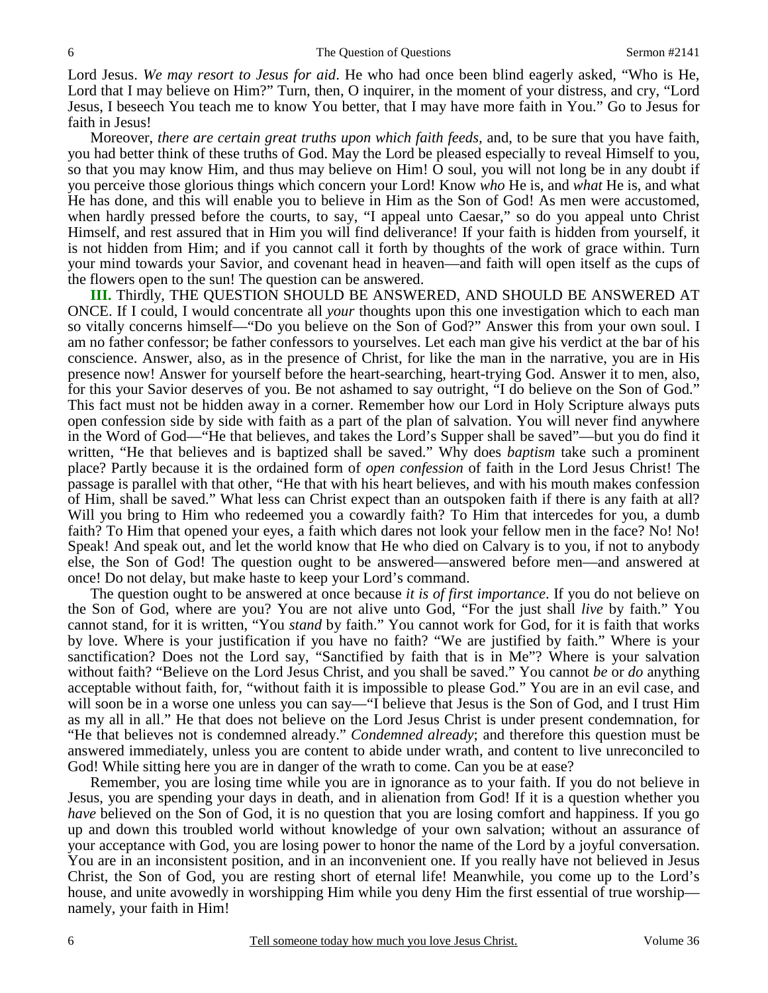Lord Jesus. *We may resort to Jesus for aid*. He who had once been blind eagerly asked, "Who is He, Lord that I may believe on Him?" Turn, then, O inquirer, in the moment of your distress, and cry, "Lord Jesus, I beseech You teach me to know You better, that I may have more faith in You." Go to Jesus for faith in Jesus!

 Moreover, *there are certain great truths upon which faith feeds,* and, to be sure that you have faith, you had better think of these truths of God. May the Lord be pleased especially to reveal Himself to you, so that you may know Him, and thus may believe on Him! O soul, you will not long be in any doubt if you perceive those glorious things which concern your Lord! Know *who* He is, and *what* He is, and what He has done, and this will enable you to believe in Him as the Son of God! As men were accustomed, when hardly pressed before the courts, to say, "I appeal unto Caesar," so do you appeal unto Christ Himself, and rest assured that in Him you will find deliverance! If your faith is hidden from yourself, it is not hidden from Him; and if you cannot call it forth by thoughts of the work of grace within. Turn your mind towards your Savior, and covenant head in heaven—and faith will open itself as the cups of the flowers open to the sun! The question can be answered.

**III.** Thirdly, THE QUESTION SHOULD BE ANSWERED, AND SHOULD BE ANSWERED AT ONCE. If I could, I would concentrate all *your* thoughts upon this one investigation which to each man so vitally concerns himself—"Do you believe on the Son of God?" Answer this from your own soul. I am no father confessor; be father confessors to yourselves. Let each man give his verdict at the bar of his conscience. Answer, also, as in the presence of Christ, for like the man in the narrative, you are in His presence now! Answer for yourself before the heart-searching, heart-trying God. Answer it to men, also, for this your Savior deserves of you. Be not ashamed to say outright, "I do believe on the Son of God." This fact must not be hidden away in a corner. Remember how our Lord in Holy Scripture always puts open confession side by side with faith as a part of the plan of salvation. You will never find anywhere in the Word of God—"He that believes, and takes the Lord's Supper shall be saved"—but you do find it written, "He that believes and is baptized shall be saved." Why does *baptism* take such a prominent place? Partly because it is the ordained form of *open confession* of faith in the Lord Jesus Christ! The passage is parallel with that other, "He that with his heart believes, and with his mouth makes confession of Him, shall be saved." What less can Christ expect than an outspoken faith if there is any faith at all? Will you bring to Him who redeemed you a cowardly faith? To Him that intercedes for you, a dumb faith? To Him that opened your eyes, a faith which dares not look your fellow men in the face? No! No! Speak! And speak out, and let the world know that He who died on Calvary is to you, if not to anybody else, the Son of God! The question ought to be answered—answered before men—and answered at once! Do not delay, but make haste to keep your Lord's command.

 The question ought to be answered at once because *it is of first importance*. If you do not believe on the Son of God, where are you? You are not alive unto God, "For the just shall *live* by faith." You cannot stand, for it is written, "You *stand* by faith." You cannot work for God, for it is faith that works by love. Where is your justification if you have no faith? "We are justified by faith." Where is your sanctification? Does not the Lord say, "Sanctified by faith that is in Me"? Where is your salvation without faith? "Believe on the Lord Jesus Christ, and you shall be saved." You cannot *be* or *do* anything acceptable without faith, for, "without faith it is impossible to please God." You are in an evil case, and will soon be in a worse one unless you can say—"I believe that Jesus is the Son of God, and I trust Him as my all in all." He that does not believe on the Lord Jesus Christ is under present condemnation, for "He that believes not is condemned already." *Condemned already*; and therefore this question must be answered immediately, unless you are content to abide under wrath, and content to live unreconciled to God! While sitting here you are in danger of the wrath to come. Can you be at ease?

 Remember, you are losing time while you are in ignorance as to your faith. If you do not believe in Jesus, you are spending your days in death, and in alienation from God! If it is a question whether you *have* believed on the Son of God, it is no question that you are losing comfort and happiness. If you go up and down this troubled world without knowledge of your own salvation; without an assurance of your acceptance with God, you are losing power to honor the name of the Lord by a joyful conversation. You are in an inconsistent position, and in an inconvenient one. If you really have not believed in Jesus Christ, the Son of God, you are resting short of eternal life! Meanwhile, you come up to the Lord's house, and unite avowedly in worshipping Him while you deny Him the first essential of true worship namely, your faith in Him!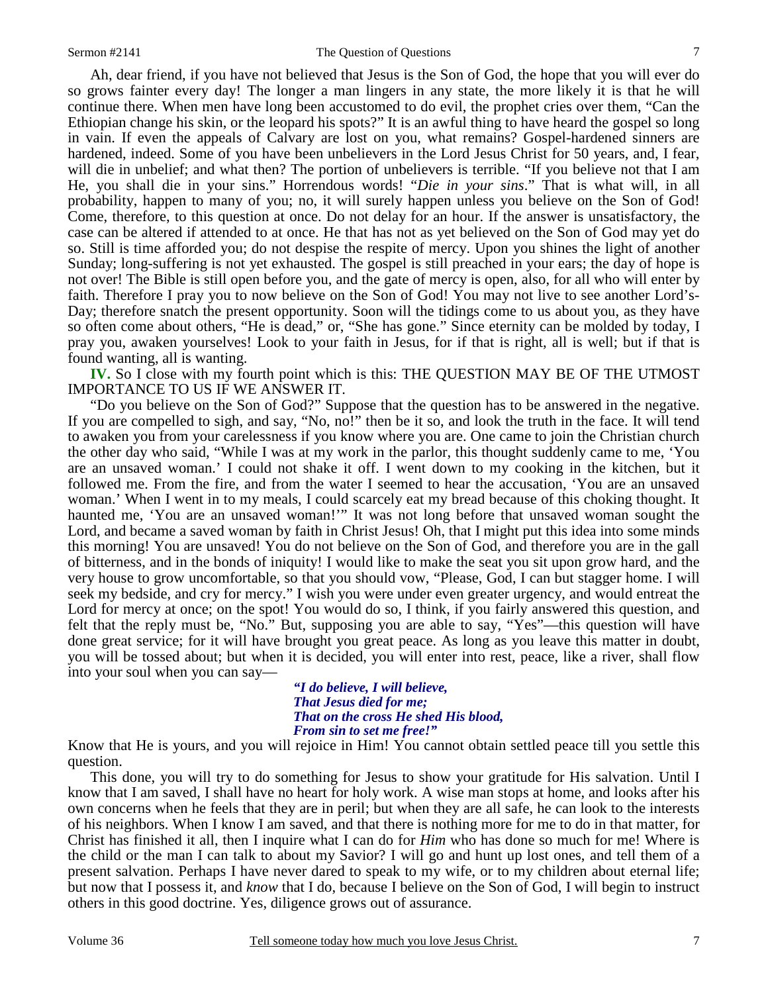#### Sermon #2141 The Question of Questions

 Ah, dear friend, if you have not believed that Jesus is the Son of God, the hope that you will ever do so grows fainter every day! The longer a man lingers in any state, the more likely it is that he will continue there. When men have long been accustomed to do evil, the prophet cries over them, "Can the Ethiopian change his skin, or the leopard his spots?" It is an awful thing to have heard the gospel so long in vain. If even the appeals of Calvary are lost on you, what remains? Gospel-hardened sinners are hardened, indeed. Some of you have been unbelievers in the Lord Jesus Christ for 50 years, and, I fear, will die in unbelief; and what then? The portion of unbelievers is terrible. "If you believe not that I am He, you shall die in your sins." Horrendous words! "*Die in your sins*." That is what will, in all probability, happen to many of you; no, it will surely happen unless you believe on the Son of God! Come, therefore, to this question at once. Do not delay for an hour. If the answer is unsatisfactory, the case can be altered if attended to at once. He that has not as yet believed on the Son of God may yet do so. Still is time afforded you; do not despise the respite of mercy. Upon you shines the light of another Sunday; long-suffering is not yet exhausted. The gospel is still preached in your ears; the day of hope is not over! The Bible is still open before you, and the gate of mercy is open, also, for all who will enter by faith. Therefore I pray you to now believe on the Son of God! You may not live to see another Lord's-Day; therefore snatch the present opportunity. Soon will the tidings come to us about you, as they have so often come about others, "He is dead," or, "She has gone." Since eternity can be molded by today, I pray you, awaken yourselves! Look to your faith in Jesus, for if that is right, all is well; but if that is found wanting, all is wanting.

**IV.** So I close with my fourth point which is this: THE QUESTION MAY BE OF THE UTMOST IMPORTANCE TO US IF WE ANSWER IT.

 "Do you believe on the Son of God?" Suppose that the question has to be answered in the negative. If you are compelled to sigh, and say, "No, no!" then be it so, and look the truth in the face. It will tend to awaken you from your carelessness if you know where you are. One came to join the Christian church the other day who said, "While I was at my work in the parlor, this thought suddenly came to me, 'You are an unsaved woman.' I could not shake it off. I went down to my cooking in the kitchen, but it followed me. From the fire, and from the water I seemed to hear the accusation, 'You are an unsaved woman.' When I went in to my meals, I could scarcely eat my bread because of this choking thought. It haunted me, 'You are an unsaved woman!'" It was not long before that unsaved woman sought the Lord, and became a saved woman by faith in Christ Jesus! Oh, that I might put this idea into some minds this morning! You are unsaved! You do not believe on the Son of God, and therefore you are in the gall of bitterness, and in the bonds of iniquity! I would like to make the seat you sit upon grow hard, and the very house to grow uncomfortable, so that you should vow, "Please, God, I can but stagger home. I will seek my bedside, and cry for mercy." I wish you were under even greater urgency, and would entreat the Lord for mercy at once; on the spot! You would do so, I think, if you fairly answered this question, and felt that the reply must be, "No." But, supposing you are able to say, "Yes"—this question will have done great service; for it will have brought you great peace. As long as you leave this matter in doubt, you will be tossed about; but when it is decided, you will enter into rest, peace, like a river, shall flow into your soul when you can say—

> *"I do believe, I will believe, That Jesus died for me; That on the cross He shed His blood, From sin to set me free!"*

Know that He is yours, and you will rejoice in Him! You cannot obtain settled peace till you settle this question.

 This done, you will try to do something for Jesus to show your gratitude for His salvation. Until I know that I am saved, I shall have no heart for holy work. A wise man stops at home, and looks after his own concerns when he feels that they are in peril; but when they are all safe, he can look to the interests of his neighbors. When I know I am saved, and that there is nothing more for me to do in that matter, for Christ has finished it all, then I inquire what I can do for *Him* who has done so much for me! Where is the child or the man I can talk to about my Savior? I will go and hunt up lost ones, and tell them of a present salvation. Perhaps I have never dared to speak to my wife, or to my children about eternal life; but now that I possess it, and *know* that I do, because I believe on the Son of God, I will begin to instruct others in this good doctrine. Yes, diligence grows out of assurance.